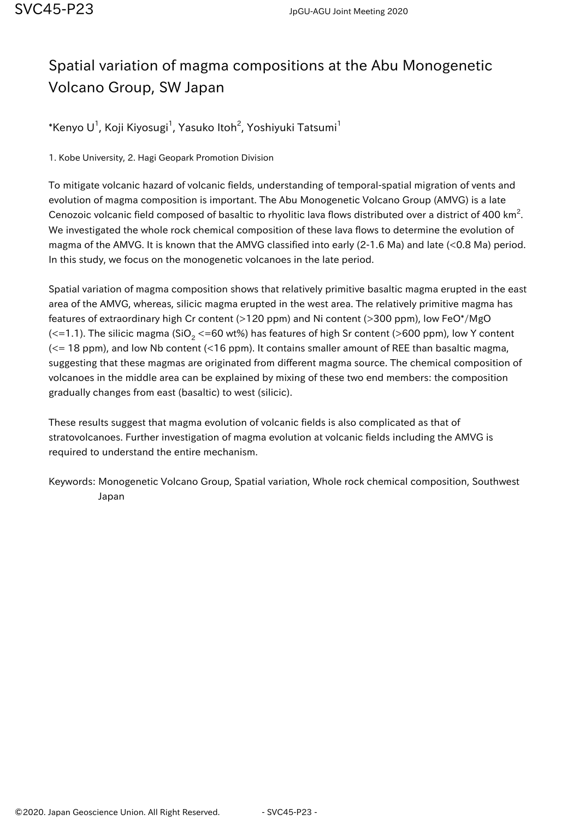## Spatial variation of magma compositions at the Abu Monogenetic Volcano Group, SW Japan

 $^*$ Kenyo U $^1$ , Koji Kiyosugi $^1$ , Yasuko Itoh $^2$ , Yoshiyuki Tatsumi $^1$ 

1. Kobe University, 2. Hagi Geopark Promotion Division

To mitigate volcanic hazard of volcanic fields, understanding of temporal-spatial migration of vents and evolution of magma composition is important. The Abu Monogenetic Volcano Group (AMVG) is a late Cenozoic volcanic field composed of basaltic to rhyolitic lava flows distributed over a district of 400 km<sup>2</sup>. We investigated the whole rock chemical composition of these lava flows to determine the evolution of magma of the AMVG. It is known that the AMVG classified into early (2-1.6 Ma) and late (<0.8 Ma) period. In this study, we focus on the monogenetic volcanoes in the late period.

Spatial variation of magma composition shows that relatively primitive basaltic magma erupted in the east area of the AMVG, whereas, silicic magma erupted in the west area. The relatively primitive magma has features of extraordinary high Cr content (>120 ppm) and Ni content (>300 ppm), low FeO\*/MgO (<=1.1). The silicic magma (SiO $_{\rm 2}$  <=60 wt%) has features of high Sr content (>600 ppm), low Y content  $\ll$  18 ppm), and low Nb content (<16 ppm). It contains smaller amount of REE than basaltic magma, suggesting that these magmas are originated from different magma source. The chemical composition of volcanoes in the middle area can be explained by mixing of these two end members: the composition gradually changes from east (basaltic) to west (silicic).

These results suggest that magma evolution of volcanic fields is also complicated as that of stratovolcanoes. Further investigation of magma evolution at volcanic fields including the AMVG is required to understand the entire mechanism.

Keywords: Monogenetic Volcano Group, Spatial variation, Whole rock chemical composition, Southwest Japan